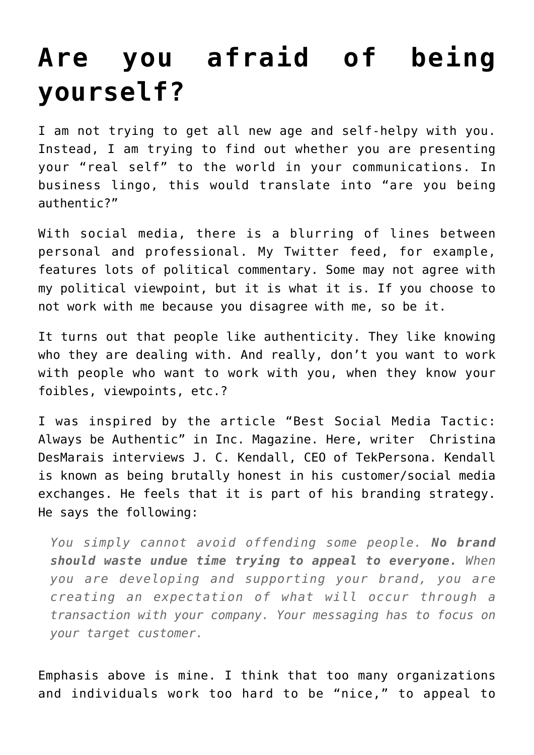## **[Are you afraid of being](https://deborahbrody.com/2012/10/are-you-afraid-of-being-yourself/) [yourself?](https://deborahbrody.com/2012/10/are-you-afraid-of-being-yourself/)**

I am not trying to get all new age and self-helpy with you. Instead, I am trying to find out whether you are presenting your "real self" to the world in your communications. In business lingo, this would translate into "are you being authentic?"

With social media, there is a blurring of lines between personal and professional. My Twitter feed, for example, features lots of political commentary. Some may not agree with my political viewpoint, but it is what it is. If you choose to not work with me because you disagree with me, so be it.

It turns out that people like authenticity. They like knowing who they are dealing with. And really, don't you want to work with people who want to work with you, when they know your foibles, viewpoints, etc.?

I was inspired by the article ["Best Social Media Tactic:](http://www.inc.com/christina-desmarais/on-social-media-authenticity-always-wins.html) [Always be Authentic"](http://www.inc.com/christina-desmarais/on-social-media-authenticity-always-wins.html) in Inc. Magazine. Here, writer Christina DesMarais interviews J. C. Kendall, CEO of TekPersona. Kendall is known as being brutally honest in his customer/social media exchanges. He feels that it is part of his branding strategy. He says the following:

*You simply cannot avoid offending some people. No brand should waste undue time trying to appeal to everyone. When you are developing and supporting your brand, you are creating an expectation of what will occur through a transaction with your company. Your messaging has to focus on your target customer.*

Emphasis above is mine. I think that too many organizations and individuals work too hard to be "nice," to appeal to